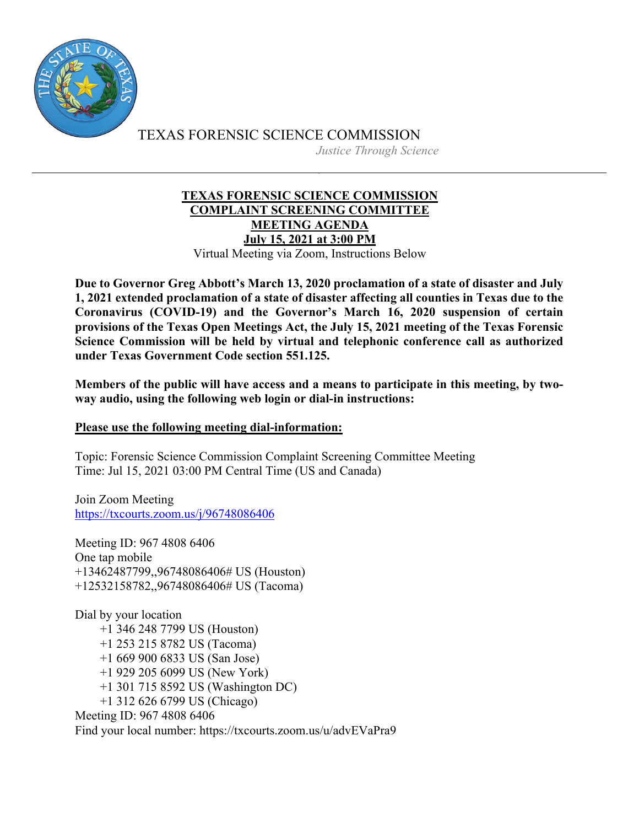

TEXAS FORENSIC SCIENCE COMMISSION *Justice Through Science*

# **TEXAS FORENSIC SCIENCE COMMISSION COMPLAINT SCREENING COMMITTEE MEETING AGENDA July 15, 2021 at 3:00 PM** Virtual Meeting via Zoom, Instructions Below

**Due to Governor Greg Abbott's March 13, 2020 proclamation of a state of disaster and July 1, 2021 extended proclamation of a state of disaster affecting all counties in Texas due to the Coronavirus (COVID-19) and the Governor's March 16, 2020 suspension of certain provisions of the Texas Open Meetings Act, the July 15, 2021 meeting of the Texas Forensic Science Commission will be held by virtual and telephonic conference call as authorized under Texas Government Code section 551.125.**

**Members of the public will have access and a means to participate in this meeting, by twoway audio, using the following web login or dial-in instructions:**

# **Please use the following meeting dial-information:**

Topic: Forensic Science Commission Complaint Screening Committee Meeting Time: Jul 15, 2021 03:00 PM Central Time (US and Canada)

Join Zoom Meeting https://txcourts.zoom.us/j/96748086406

Meeting ID: 967 4808 6406 One tap mobile +13462487799,,96748086406# US (Houston) +12532158782,,96748086406# US (Tacoma)

Dial by your location +1 346 248 7799 US (Houston) +1 253 215 8782 US (Tacoma) +1 669 900 6833 US (San Jose) +1 929 205 6099 US (New York) +1 301 715 8592 US (Washington DC) +1 312 626 6799 US (Chicago) Meeting ID: 967 4808 6406 Find your local number: https://txcourts.zoom.us/u/advEVaPra9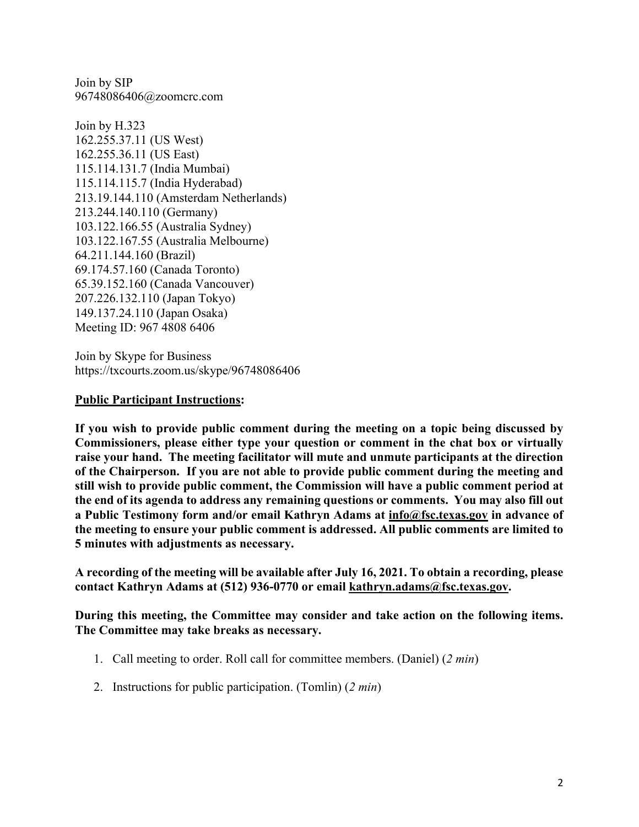Join by SIP 96748086406@zoomcrc.com

Join by H.323 162.255.37.11 (US West) 162.255.36.11 (US East) 115.114.131.7 (India Mumbai) 115.114.115.7 (India Hyderabad) 213.19.144.110 (Amsterdam Netherlands) 213.244.140.110 (Germany) 103.122.166.55 (Australia Sydney) 103.122.167.55 (Australia Melbourne) 64.211.144.160 (Brazil) 69.174.57.160 (Canada Toronto) 65.39.152.160 (Canada Vancouver) 207.226.132.110 (Japan Tokyo) 149.137.24.110 (Japan Osaka) Meeting ID: 967 4808 6406

Join by Skype for Business https://txcourts.zoom.us/skype/96748086406

### **Public Participant Instructions:**

**If you wish to provide public comment during the meeting on a topic being discussed by Commissioners, please either type your question or comment in the chat box or virtually raise your hand. The meeting facilitator will mute and unmute participants at the direction of the Chairperson. If you are not able to provide public comment during the meeting and still wish to provide public comment, the Commission will have a public comment period at the end of its agenda to address any remaining questions or comments. You may also fill out a Public Testimony form and/or email Kathryn Adams at info@fsc.texas.gov in advance of the meeting to ensure your public comment is addressed. All public comments are limited to 5 minutes with adjustments as necessary.**

**A recording of the meeting will be available after July 16, 2021. To obtain a recording, please contact Kathryn Adams at (512) 936-0770 or email kathryn.adams@fsc.texas.gov.**

**During this meeting, the Committee may consider and take action on the following items. The Committee may take breaks as necessary.** 

- 1. Call meeting to order. Roll call for committee members. (Daniel) (*2 min*)
- 2. Instructions for public participation. (Tomlin) (*2 min*)